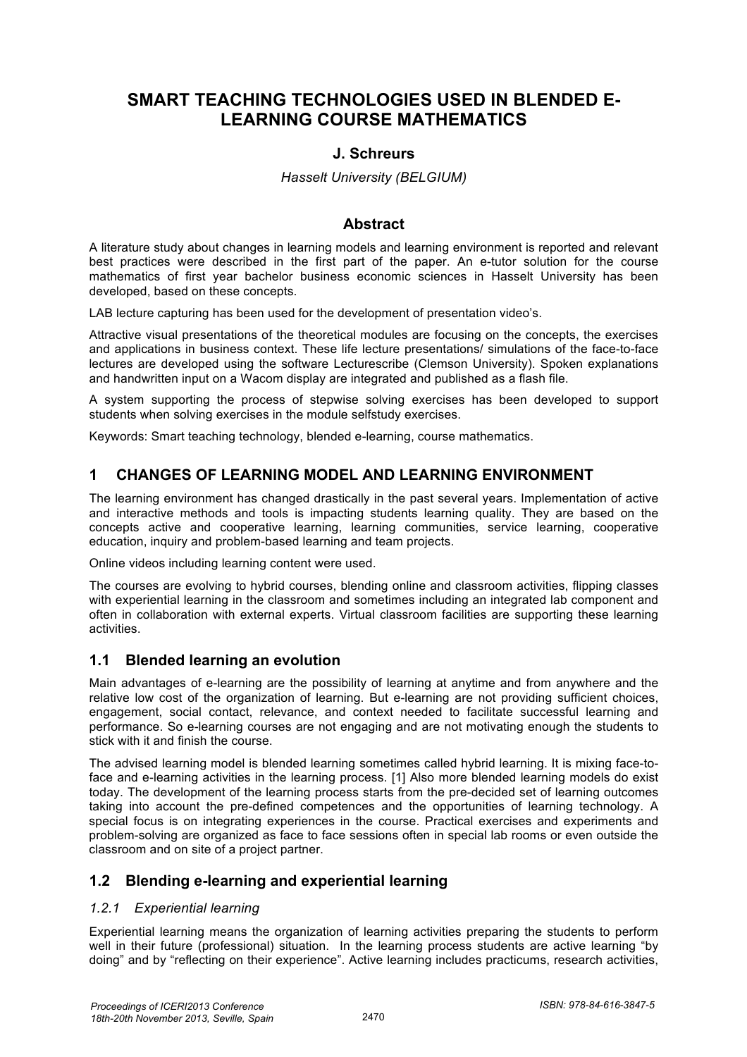# **SMART TEACHING TECHNOLOGIES USED IN BLENDED E-LEARNING COURSE MATHEMATICS**

### **J. Schreurs**

#### *Hasselt University (BELGIUM)*

#### **Abstract**

A literature study about changes in learning models and learning environment is reported and relevant best practices were described in the first part of the paper. An e-tutor solution for the course mathematics of first year bachelor business economic sciences in Hasselt University has been developed, based on these concepts.

LAB lecture capturing has been used for the development of presentation video's.

Attractive visual presentations of the theoretical modules are focusing on the concepts, the exercises and applications in business context. These life lecture presentations/ simulations of the face-to-face lectures are developed using the software Lecturescribe (Clemson University). Spoken explanations and handwritten input on a Wacom display are integrated and published as a flash file.

A system supporting the process of stepwise solving exercises has been developed to support students when solving exercises in the module selfstudy exercises.

Keywords: Smart teaching technology, blended e-learning, course mathematics.

## **1 CHANGES OF LEARNING MODEL AND LEARNING ENVIRONMENT**

The learning environment has changed drastically in the past several years. Implementation of active and interactive methods and tools is impacting students learning quality. They are based on the concepts active and cooperative learning, learning communities, service learning, cooperative education, inquiry and problem-based learning and team projects.

Online videos including learning content were used.

The courses are evolving to hybrid courses, blending online and classroom activities, flipping classes with experiential learning in the classroom and sometimes including an integrated lab component and often in collaboration with external experts. Virtual classroom facilities are supporting these learning activities.

#### **1.1 Blended learning an evolution**

Main advantages of e-learning are the possibility of learning at anytime and from anywhere and the relative low cost of the organization of learning. But e-learning are not providing sufficient choices, engagement, social contact, relevance, and context needed to facilitate successful learning and performance. So e-learning courses are not engaging and are not motivating enough the students to stick with it and finish the course.

The advised learning model is blended learning sometimes called hybrid learning. It is mixing face-toface and e-learning activities in the learning process. [1] Also more blended learning models do exist today. The development of the learning process starts from the pre-decided set of learning outcomes taking into account the pre-defined competences and the opportunities of learning technology. A special focus is on integrating experiences in the course. Practical exercises and experiments and problem-solving are organized as face to face sessions often in special lab rooms or even outside the classroom and on site of a project partner.

## **1.2 Blending e-learning and experiential learning**

#### *1.2.1 Experiential learning*

Experiential learning means the organization of learning activities preparing the students to perform well in their future (professional) situation. In the learning process students are active learning "by doing" and by "reflecting on their experience". Active learning includes practicums, research activities,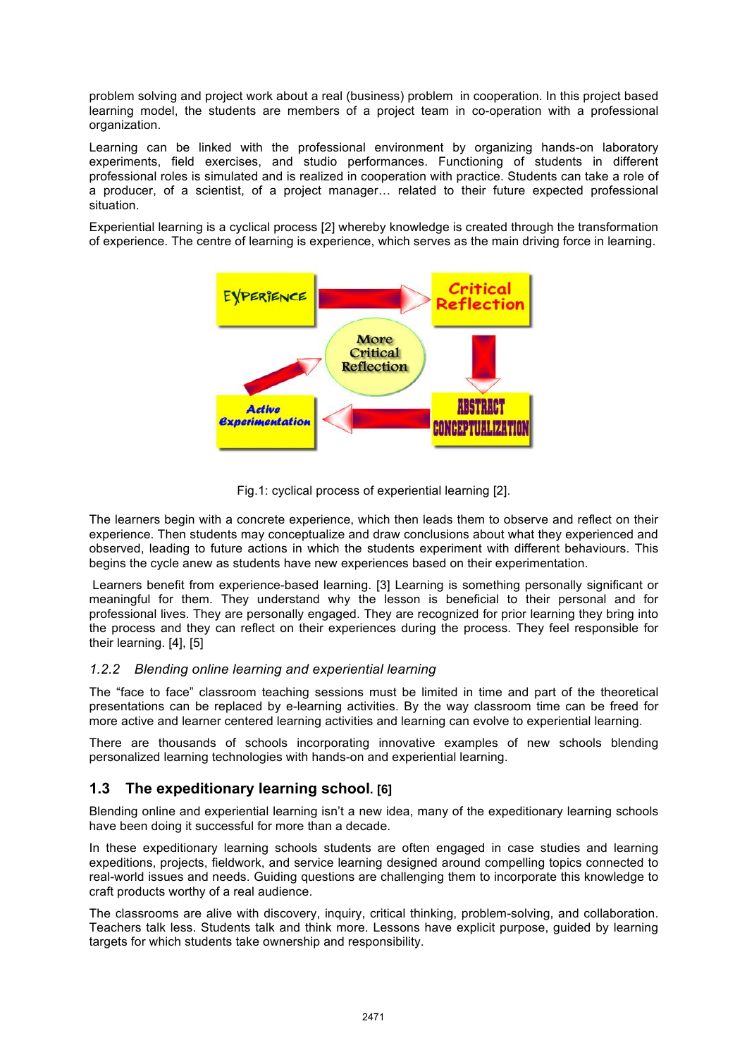problem solving and project work about a real (business) problem in cooperation. In this project based learning model, the students are members of a project team in co-operation with a professional organization.

Learning can be linked with the professional environment by organizing hands-on laboratory experiments, field exercises, and studio performances. Functioning of students in different professional roles is simulated and is realized in cooperation with practice. Students can take a role of a producer, of a scientist, of a project manager… related to their future expected professional situation.

Experiential learning is a cyclical process [2] whereby knowledge is created through the transformation of experience. The centre of learning is experience, which serves as the main driving force in learning.



Fig.1: cyclical process of experiential learning [2].

The learners begin with a concrete experience, which then leads them to observe and reflect on their experience. Then students may conceptualize and draw conclusions about what they experienced and observed, leading to future actions in which the students experiment with different behaviours. This begins the cycle anew as students have new experiences based on their experimentation.

 Learners benefit from experience-based learning. [3] Learning is something personally significant or meaningful for them. They understand why the lesson is beneficial to their personal and for professional lives. They are personally engaged. They are recognized for prior learning they bring into the process and they can reflect on their experiences during the process. They feel responsible for their learning. [4], [5]

#### *1.2.2 Blending online learning and experiential learning*

The "face to face" classroom teaching sessions must be limited in time and part of the theoretical presentations can be replaced by e-learning activities. By the way classroom time can be freed for more active and learner centered learning activities and learning can evolve to experiential learning.

There are thousands of schools incorporating innovative examples of new schools blending personalized learning technologies with hands-on and experiential learning.

## **1.3 The expeditionary learning school. [6]**

Blending online and experiential learning isn't a new idea, many of the expeditionary learning schools have been doing it successful for more than a decade.

In these expeditionary learning schools students are often engaged in case studies and learning expeditions, projects, fieldwork, and service learning designed around compelling topics connected to real-world issues and needs. Guiding questions are challenging them to incorporate this knowledge to craft products worthy of a real audience.

The classrooms are alive with discovery, inquiry, critical thinking, problem-solving, and collaboration. Teachers talk less. Students talk and think more. Lessons have explicit purpose, guided by learning targets for which students take ownership and responsibility.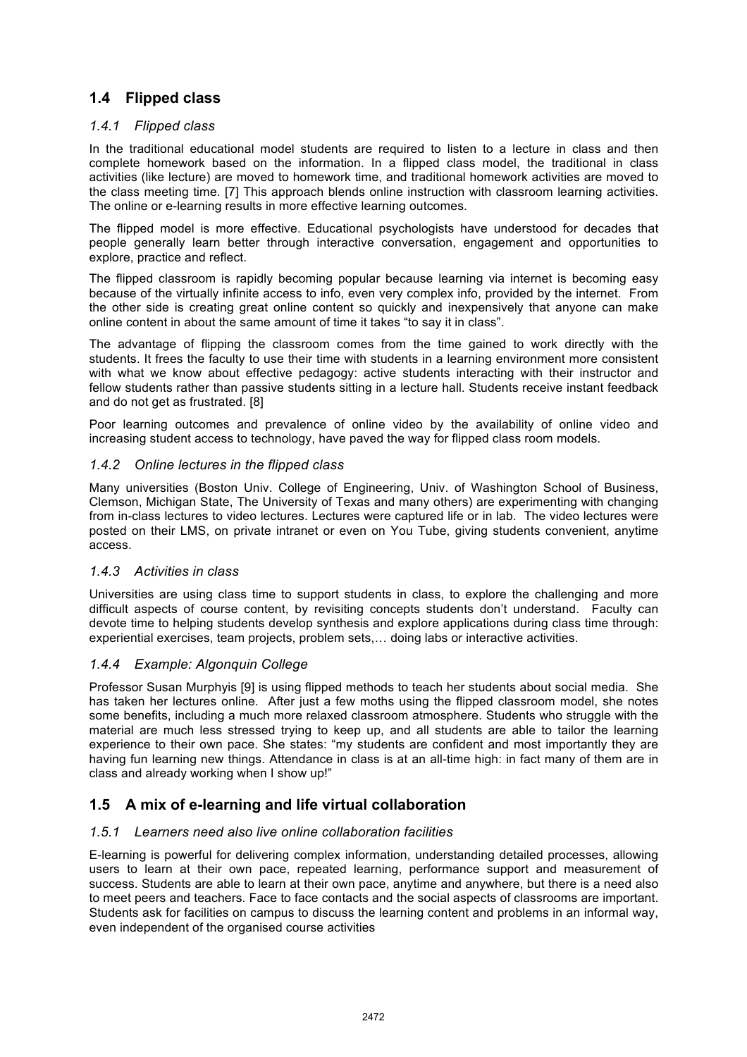## **1.4 Flipped class**

#### *1.4.1 Flipped class*

In the traditional educational model students are required to listen to a lecture in class and then complete homework based on the information. In a flipped class model, the traditional in class activities (like lecture) are moved to homework time, and traditional homework activities are moved to the class meeting time. [7] This approach blends online instruction with classroom learning activities. The online or e-learning results in more effective learning outcomes.

The flipped model is more effective. Educational psychologists have understood for decades that people generally learn better through interactive conversation, engagement and opportunities to explore, practice and reflect.

The flipped classroom is rapidly becoming popular because learning via internet is becoming easy because of the virtually infinite access to info, even very complex info, provided by the internet. From the other side is creating great online content so quickly and inexpensively that anyone can make online content in about the same amount of time it takes "to say it in class".

The advantage of flipping the classroom comes from the time gained to work directly with the students. It frees the faculty to use their time with students in a learning environment more consistent with what we know about effective pedagogy: active students interacting with their instructor and fellow students rather than passive students sitting in a lecture hall. Students receive instant feedback and do not get as frustrated. [8]

Poor learning outcomes and prevalence of online video by the availability of online video and increasing student access to technology, have paved the way for flipped class room models.

#### *1.4.2 Online lectures in the flipped class*

Many universities (Boston Univ. College of Engineering, Univ. of Washington School of Business, Clemson, Michigan State, The University of Texas and many others) are experimenting with changing from in-class lectures to video lectures. Lectures were captured life or in lab. The video lectures were posted on their LMS, on private intranet or even on You Tube, giving students convenient, anytime access.

#### *1.4.3 Activities in class*

Universities are using class time to support students in class, to explore the challenging and more difficult aspects of course content, by revisiting concepts students don't understand. Faculty can devote time to helping students develop synthesis and explore applications during class time through: experiential exercises, team projects, problem sets,… doing labs or interactive activities.

#### *1.4.4 Example: Algonquin College*

Professor Susan Murphyis [9] is using flipped methods to teach her students about social media. She has taken her lectures online. After just a few moths using the flipped classroom model, she notes some benefits, including a much more relaxed classroom atmosphere. Students who struggle with the material are much less stressed trying to keep up, and all students are able to tailor the learning experience to their own pace. She states: "my students are confident and most importantly they are having fun learning new things. Attendance in class is at an all-time high: in fact many of them are in class and already working when I show up!"

## **1.5 A mix of e-learning and life virtual collaboration**

#### *1.5.1 Learners need also live online collaboration facilities*

E-learning is powerful for delivering complex information, understanding detailed processes, allowing users to learn at their own pace, repeated learning, performance support and measurement of success. Students are able to learn at their own pace, anytime and anywhere, but there is a need also to meet peers and teachers. Face to face contacts and the social aspects of classrooms are important. Students ask for facilities on campus to discuss the learning content and problems in an informal way, even independent of the organised course activities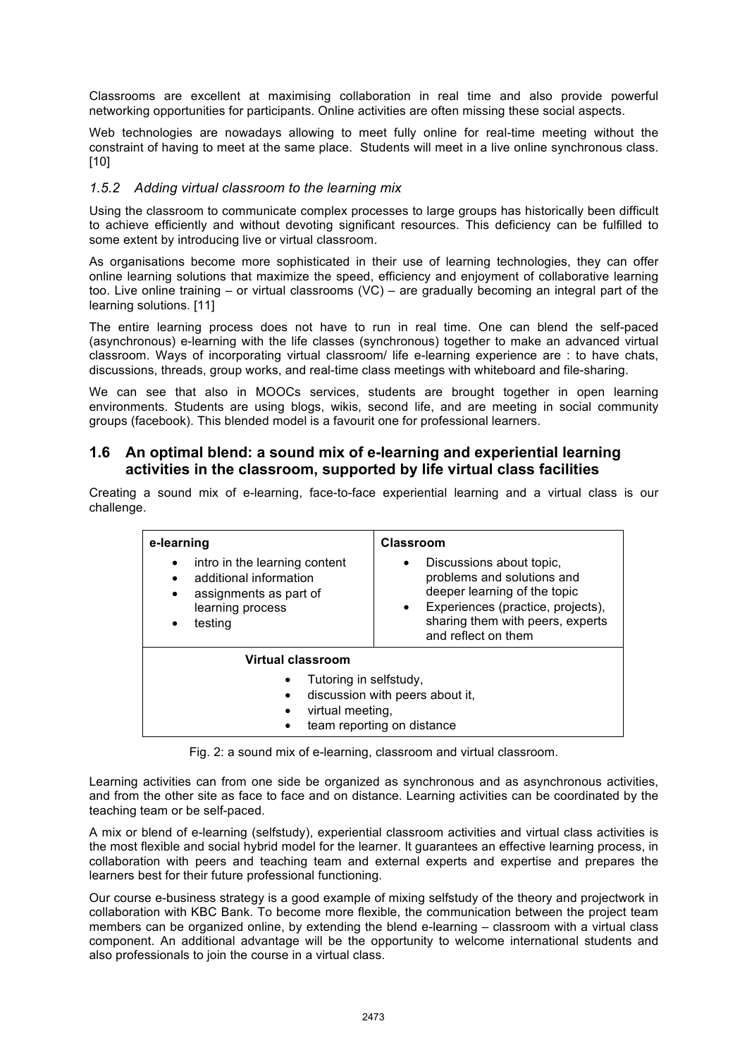Classrooms are excellent at maximising collaboration in real time and also provide powerful networking opportunities for participants. Online activities are often missing these social aspects.

Web technologies are nowadays allowing to meet fully online for real-time meeting without the constraint of having to meet at the same place. Students will meet in a live online synchronous class. [10]

#### *1.5.2 Adding virtual classroom to the learning mix*

Using the classroom to communicate complex processes to large groups has historically been difficult to achieve efficiently and without devoting significant resources. This deficiency can be fulfilled to some extent by introducing live or virtual classroom.

As organisations become more sophisticated in their use of learning technologies, they can offer online learning solutions that maximize the speed, efficiency and enjoyment of collaborative learning too. Live online training – or virtual classrooms (VC) – are gradually becoming an integral part of the learning solutions. [11]

The entire learning process does not have to run in real time. One can blend the self-paced (asynchronous) e-learning with the life classes (synchronous) together to make an advanced virtual classroom. Ways of incorporating virtual classroom/ life e-learning experience are : to have chats, discussions, threads, group works, and real-time class meetings with whiteboard and file-sharing.

We can see that also in MOOCs services, students are brought together in open learning environments. Students are using blogs, wikis, second life, and are meeting in social community groups (facebook). This blended model is a favourit one for professional learners.

#### **1.6 An optimal blend: a sound mix of e-learning and experiential learning activities in the classroom, supported by life virtual class facilities**

Creating a sound mix of e-learning, face-to-face experiential learning and a virtual class is our challenge.

| e-learning<br>intro in the learning content<br>$\bullet$<br>additional information<br>$\bullet$<br>assignments as part of<br>$\bullet$<br>learning process<br>testing<br>$\bullet$ | Classroom<br>Discussions about topic,<br>$\bullet$<br>problems and solutions and<br>deeper learning of the topic<br>Experiences (practice, projects),<br>$\bullet$<br>sharing them with peers, experts<br>and reflect on them |
|------------------------------------------------------------------------------------------------------------------------------------------------------------------------------------|-------------------------------------------------------------------------------------------------------------------------------------------------------------------------------------------------------------------------------|
| Virtual classroom                                                                                                                                                                  |                                                                                                                                                                                                                               |
| Tutoring in selfstudy,<br>$\bullet$<br>discussion with peers about it,<br>virtual meeting,<br>team reporting on distance                                                           |                                                                                                                                                                                                                               |

Fig. 2: a sound mix of e-learning, classroom and virtual classroom.

Learning activities can from one side be organized as synchronous and as asynchronous activities, and from the other site as face to face and on distance. Learning activities can be coordinated by the teaching team or be self-paced.

A mix or blend of e-learning (selfstudy), experiential classroom activities and virtual class activities is the most flexible and social hybrid model for the learner. It guarantees an effective learning process, in collaboration with peers and teaching team and external experts and expertise and prepares the learners best for their future professional functioning.

Our course e-business strategy is a good example of mixing selfstudy of the theory and projectwork in collaboration with KBC Bank. To become more flexible, the communication between the project team members can be organized online, by extending the blend e-learning – classroom with a virtual class component. An additional advantage will be the opportunity to welcome international students and also professionals to join the course in a virtual class.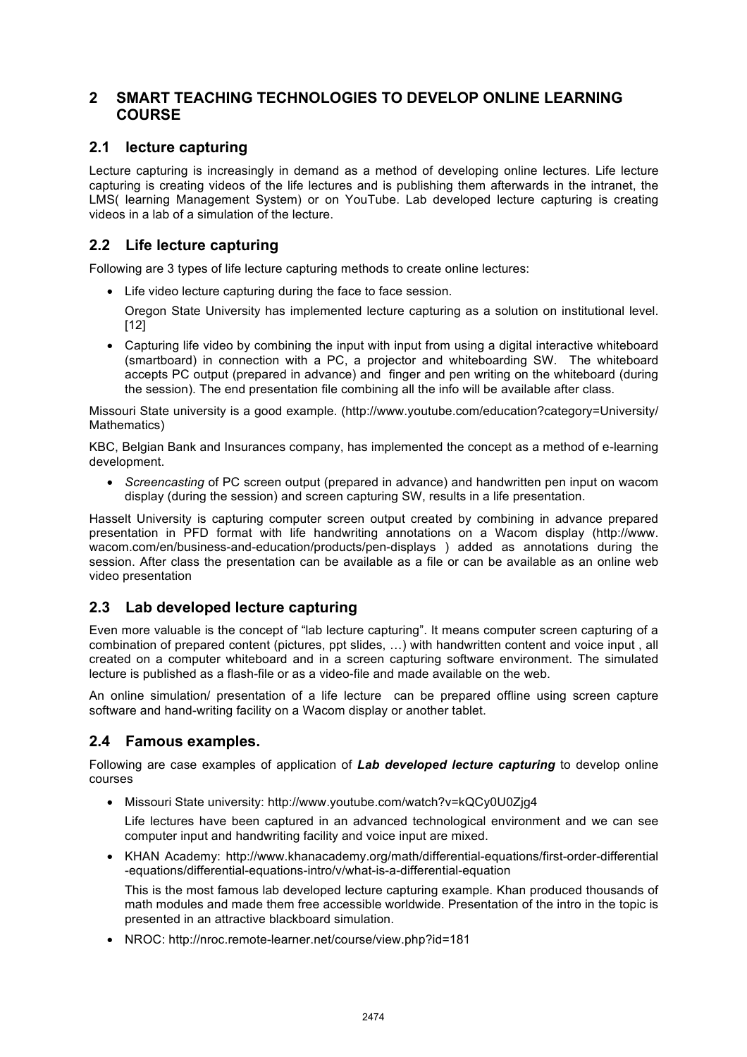## **2 SMART TEACHING TECHNOLOGIES TO DEVELOP ONLINE LEARNING COURSE**

## **2.1 lecture capturing**

Lecture capturing is increasingly in demand as a method of developing online lectures. Life lecture capturing is creating videos of the life lectures and is publishing them afterwards in the intranet, the LMS( learning Management System) or on YouTube. Lab developed lecture capturing is creating videos in a lab of a simulation of the lecture.

## **2.2 Life lecture capturing**

Following are 3 types of life lecture capturing methods to create online lectures:

• Life video lecture capturing during the face to face session.

Oregon State University has implemented lecture capturing as a solution on institutional level. [12]

• Capturing life video by combining the input with input from using a digital interactive whiteboard (smartboard) in connection with a PC, a projector and whiteboarding SW. The whiteboard accepts PC output (prepared in advance) and finger and pen writing on the whiteboard (during the session). The end presentation file combining all the info will be available after class.

Missouri State university is a good example. (http://www.youtube.com/education?category=University/ Mathematics)

KBC, Belgian Bank and Insurances company, has implemented the concept as a method of e-learning development.

• *Screencasting* of PC screen output (prepared in advance) and handwritten pen input on wacom display (during the session) and screen capturing SW, results in a life presentation.

Hasselt University is capturing computer screen output created by combining in advance prepared presentation in PFD format with life handwriting annotations on a Wacom display (http://www. wacom.com/en/business-and-education/products/pen-displays ) added as annotations during the session. After class the presentation can be available as a file or can be available as an online web video presentation

## **2.3 Lab developed lecture capturing**

Even more valuable is the concept of "lab lecture capturing". It means computer screen capturing of a combination of prepared content (pictures, ppt slides, …) with handwritten content and voice input , all created on a computer whiteboard and in a screen capturing software environment. The simulated lecture is published as a flash-file or as a video-file and made available on the web.

An online simulation/ presentation of a life lecture can be prepared offline using screen capture software and hand-writing facility on a Wacom display or another tablet.

## **2.4 Famous examples.**

Following are case examples of application of *Lab developed lecture capturing* to develop online courses

• Missouri State university: http://www.youtube.com/watch?v=kQCy0U0Zjg4

Life lectures have been captured in an advanced technological environment and we can see computer input and handwriting facility and voice input are mixed.

• KHAN Academy: http://www.khanacademy.org/math/differential-equations/first-order-differential -equations/differential-equations-intro/v/what-is-a-differential-equation

This is the most famous lab developed lecture capturing example. Khan produced thousands of math modules and made them free accessible worldwide. Presentation of the intro in the topic is presented in an attractive blackboard simulation.

• NROC: http://nroc.remote-learner.net/course/view.php?id=181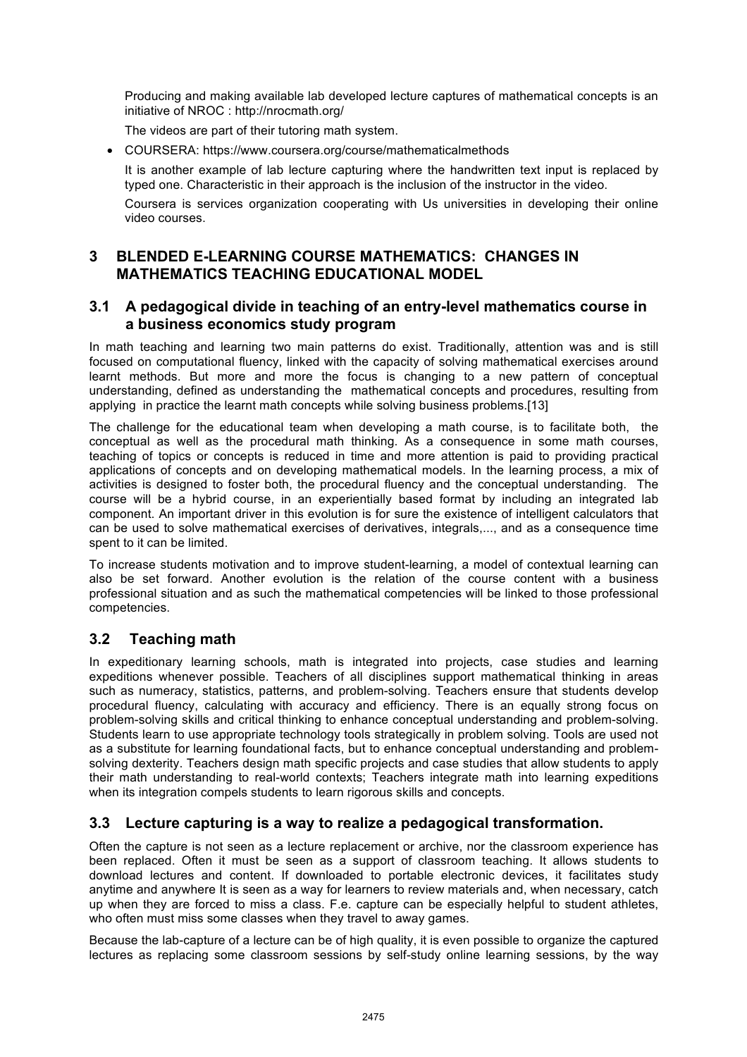Producing and making available lab developed lecture captures of mathematical concepts is an initiative of NROC : http://nrocmath.org/

The videos are part of their tutoring math system.

• COURSERA: https://www.coursera.org/course/mathematicalmethods

It is another example of lab lecture capturing where the handwritten text input is replaced by typed one. Characteristic in their approach is the inclusion of the instructor in the video.

Coursera is services organization cooperating with Us universities in developing their online video courses.

## **3 BLENDED E-LEARNING COURSE MATHEMATICS: CHANGES IN MATHEMATICS TEACHING EDUCATIONAL MODEL**

#### **3.1 A pedagogical divide in teaching of an entry-level mathematics course in a business economics study program**

In math teaching and learning two main patterns do exist. Traditionally, attention was and is still focused on computational fluency, linked with the capacity of solving mathematical exercises around learnt methods. But more and more the focus is changing to a new pattern of conceptual understanding, defined as understanding the mathematical concepts and procedures, resulting from applying in practice the learnt math concepts while solving business problems.[13]

The challenge for the educational team when developing a math course, is to facilitate both, the conceptual as well as the procedural math thinking. As a consequence in some math courses, teaching of topics or concepts is reduced in time and more attention is paid to providing practical applications of concepts and on developing mathematical models. In the learning process, a mix of activities is designed to foster both, the procedural fluency and the conceptual understanding. The course will be a hybrid course, in an experientially based format by including an integrated lab component. An important driver in this evolution is for sure the existence of intelligent calculators that can be used to solve mathematical exercises of derivatives, integrals,..., and as a consequence time spent to it can be limited.

To increase students motivation and to improve student-learning, a model of contextual learning can also be set forward. Another evolution is the relation of the course content with a business professional situation and as such the mathematical competencies will be linked to those professional competencies.

## **3.2 Teaching math**

In expeditionary learning schools, math is integrated into projects, case studies and learning expeditions whenever possible. Teachers of all disciplines support mathematical thinking in areas such as numeracy, statistics, patterns, and problem-solving. Teachers ensure that students develop procedural fluency, calculating with accuracy and efficiency. There is an equally strong focus on problem-solving skills and critical thinking to enhance conceptual understanding and problem-solving. Students learn to use appropriate technology tools strategically in problem solving. Tools are used not as a substitute for learning foundational facts, but to enhance conceptual understanding and problemsolving dexterity. Teachers design math specific projects and case studies that allow students to apply their math understanding to real-world contexts; Teachers integrate math into learning expeditions when its integration compels students to learn rigorous skills and concepts.

## **3.3 Lecture capturing is a way to realize a pedagogical transformation.**

Often the capture is not seen as a lecture replacement or archive, nor the classroom experience has been replaced. Often it must be seen as a support of classroom teaching. It allows students to download lectures and content. If downloaded to portable electronic devices, it facilitates study anytime and anywhere It is seen as a way for learners to review materials and, when necessary, catch up when they are forced to miss a class. F.e. capture can be especially helpful to student athletes, who often must miss some classes when they travel to away games.

Because the lab-capture of a lecture can be of high quality, it is even possible to organize the captured lectures as replacing some classroom sessions by self-study online learning sessions, by the way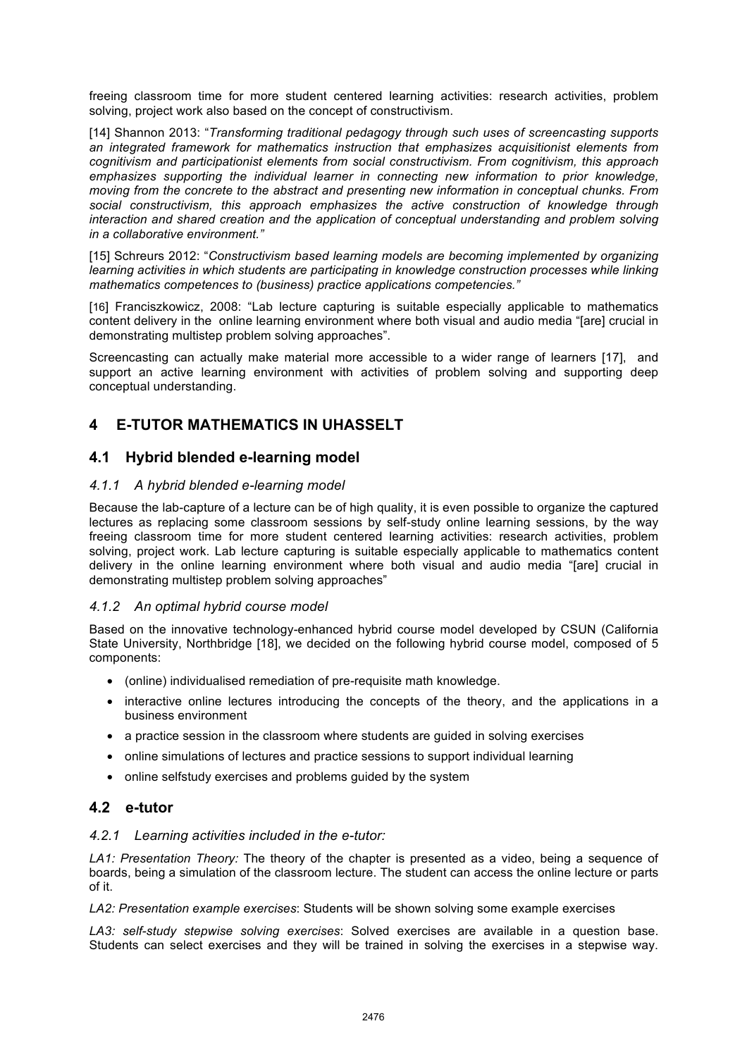freeing classroom time for more student centered learning activities: research activities, problem solving, project work also based on the concept of constructivism.

[14] Shannon 2013: "*Transforming traditional pedagogy through such uses of screencasting supports an integrated framework for mathematics instruction that emphasizes acquisitionist elements from cognitivism and participationist elements from social constructivism. From cognitivism, this approach emphasizes supporting the individual learner in connecting new information to prior knowledge, moving from the concrete to the abstract and presenting new information in conceptual chunks. From social constructivism, this approach emphasizes the active construction of knowledge through interaction and shared creation and the application of conceptual understanding and problem solving in a collaborative environment."*

[15] Schreurs 2012: "*Constructivism based learning models are becoming implemented by organizing learning activities in which students are participating in knowledge construction processes while linking mathematics competences to (business) practice applications competencies."* 

[16] Franciszkowicz, 2008: "Lab lecture capturing is suitable especially applicable to mathematics content delivery in the online learning environment where both visual and audio media "[are] crucial in demonstrating multistep problem solving approaches".

Screencasting can actually make material more accessible to a wider range of learners [17], and support an active learning environment with activities of problem solving and supporting deep conceptual understanding.

## **4 E-TUTOR MATHEMATICS IN UHASSELT**

## **4.1 Hybrid blended e-learning model**

#### *4.1.1 A hybrid blended e-learning model*

Because the lab-capture of a lecture can be of high quality, it is even possible to organize the captured lectures as replacing some classroom sessions by self-study online learning sessions, by the way freeing classroom time for more student centered learning activities: research activities, problem solving, project work. Lab lecture capturing is suitable especially applicable to mathematics content delivery in the online learning environment where both visual and audio media "[are] crucial in demonstrating multistep problem solving approaches"

#### *4.1.2 An optimal hybrid course model*

Based on the innovative technology-enhanced hybrid course model developed by CSUN (California State University, Northbridge [18], we decided on the following hybrid course model, composed of 5 components:

- (online) individualised remediation of pre-requisite math knowledge.
- interactive online lectures introducing the concepts of the theory, and the applications in a business environment
- a practice session in the classroom where students are guided in solving exercises
- online simulations of lectures and practice sessions to support individual learning
- online selfstudy exercises and problems guided by the system

#### **4.2 e-tutor**

#### *4.2.1 Learning activities included in the e-tutor:*

*LA1: Presentation Theory:* The theory of the chapter is presented as a video, being a sequence of boards, being a simulation of the classroom lecture. The student can access the online lecture or parts of it.

*LA2: Presentation example exercises*: Students will be shown solving some example exercises

*LA3: self-study stepwise solving exercises*: Solved exercises are available in a question base. Students can select exercises and they will be trained in solving the exercises in a stepwise way.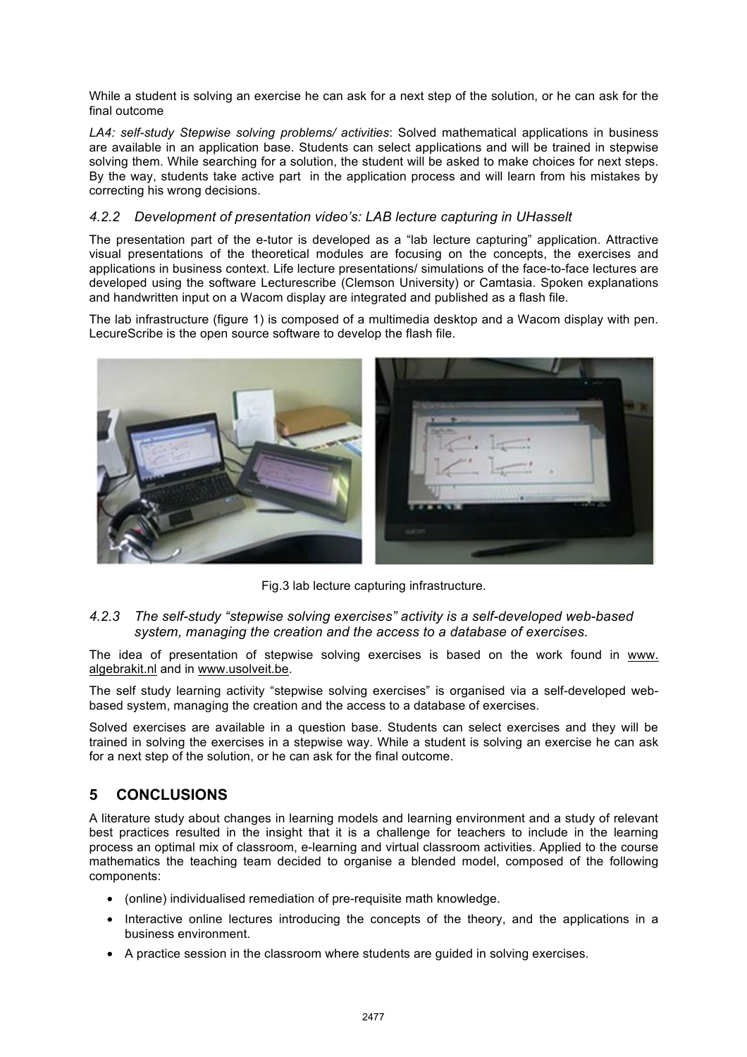While a student is solving an exercise he can ask for a next step of the solution, or he can ask for the final outcome

*LA4: self-study Stepwise solving problems/ activities*: Solved mathematical applications in business are available in an application base. Students can select applications and will be trained in stepwise solving them. While searching for a solution, the student will be asked to make choices for next steps. By the way, students take active part in the application process and will learn from his mistakes by correcting his wrong decisions.

#### *4.2.2 Development of presentation video's: LAB lecture capturing in UHasselt*

The presentation part of the e-tutor is developed as a "lab lecture capturing" application. Attractive visual presentations of the theoretical modules are focusing on the concepts, the exercises and applications in business context. Life lecture presentations/ simulations of the face-to-face lectures are developed using the software Lecturescribe (Clemson University) or Camtasia. Spoken explanations and handwritten input on a Wacom display are integrated and published as a flash file.

The lab infrastructure (figure 1) is composed of a multimedia desktop and a Wacom display with pen. LecureScribe is the open source software to develop the flash file.



Fig.3 lab lecture capturing infrastructure.

#### *4.2.3 The self-study "stepwise solving exercises" activity is a self-developed web-based system, managing the creation and the access to a database of exercises.*

The idea of presentation of stepwise solving exercises is based on the work found in www. algebrakit.nl and in www.usolveit.be.

The self study learning activity "stepwise solving exercises" is organised via a self-developed webbased system, managing the creation and the access to a database of exercises.

Solved exercises are available in a question base. Students can select exercises and they will be trained in solving the exercises in a stepwise way. While a student is solving an exercise he can ask for a next step of the solution, or he can ask for the final outcome.

## **5 CONCLUSIONS**

A literature study about changes in learning models and learning environment and a study of relevant best practices resulted in the insight that it is a challenge for teachers to include in the learning process an optimal mix of classroom, e-learning and virtual classroom activities. Applied to the course mathematics the teaching team decided to organise a blended model, composed of the following components:

- (online) individualised remediation of pre-requisite math knowledge.
- Interactive online lectures introducing the concepts of the theory, and the applications in a business environment.
- A practice session in the classroom where students are guided in solving exercises.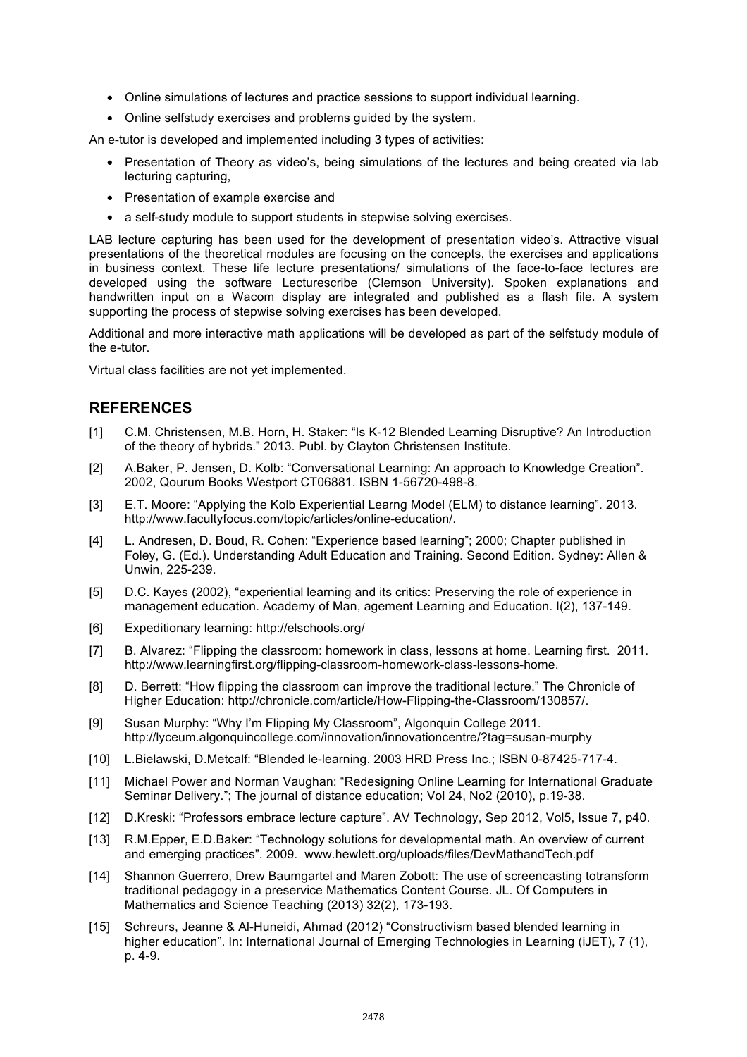- Online simulations of lectures and practice sessions to support individual learning.
- Online selfstudy exercises and problems guided by the system.

An e-tutor is developed and implemented including 3 types of activities:

- Presentation of Theory as video's, being simulations of the lectures and being created via lab lecturing capturing,
- Presentation of example exercise and
- a self-study module to support students in stepwise solving exercises.

LAB lecture capturing has been used for the development of presentation video's. Attractive visual presentations of the theoretical modules are focusing on the concepts, the exercises and applications in business context. These life lecture presentations/ simulations of the face-to-face lectures are developed using the software Lecturescribe (Clemson University). Spoken explanations and handwritten input on a Wacom display are integrated and published as a flash file. A system supporting the process of stepwise solving exercises has been developed.

Additional and more interactive math applications will be developed as part of the selfstudy module of the e-tutor.

Virtual class facilities are not yet implemented.

#### **REFERENCES**

- [1] C.M. Christensen, M.B. Horn, H. Staker: "Is K-12 Blended Learning Disruptive? An Introduction of the theory of hybrids." 2013. Publ. by Clayton Christensen Institute.
- [2] A.Baker, P. Jensen, D. Kolb: "Conversational Learning: An approach to Knowledge Creation". 2002, Qourum Books Westport CT06881. ISBN 1-56720-498-8.
- [3] E.T. Moore: "Applying the Kolb Experiential Learng Model (ELM) to distance learning". 2013. http://www.facultyfocus.com/topic/articles/online-education/.
- [4] L. Andresen, D. Boud, R. Cohen: "Experience based learning"; 2000; Chapter published in Foley, G. (Ed.). Understanding Adult Education and Training. Second Edition. Sydney: Allen & Unwin, 225-239.
- [5] D.C. Kayes (2002), "experiential learning and its critics: Preserving the role of experience in management education. Academy of Man, agement Learning and Education. I(2), 137-149.
- [6] Expeditionary learning: http://elschools.org/
- [7] B. Alvarez: "Flipping the classroom: homework in class, lessons at home. Learning first. 2011. http://www.learningfirst.org/flipping-classroom-homework-class-lessons-home.
- [8] D. Berrett: "How flipping the classroom can improve the traditional lecture." The Chronicle of Higher Education: http://chronicle.com/article/How-Flipping-the-Classroom/130857/.
- [9] Susan Murphy: "Why I'm Flipping My Classroom", Algonquin College 2011. http://lyceum.algonquincollege.com/innovation/innovationcentre/?tag=susan-murphy
- [10] L.Bielawski, D.Metcalf: "Blended le-learning. 2003 HRD Press Inc.; ISBN 0-87425-717-4.
- [11] Michael Power and Norman Vaughan: "Redesigning Online Learning for International Graduate Seminar Delivery."; The journal of distance education; Vol 24, No2 (2010), p.19-38.
- [12] D.Kreski: "Professors embrace lecture capture". AV Technology, Sep 2012, Vol5, Issue 7, p40.
- [13] R.M.Epper, E.D.Baker: "Technology solutions for developmental math. An overview of current and emerging practices". 2009. www.hewlett.org/uploads/files/DevMathandTech.pdf
- [14] Shannon Guerrero, Drew Baumgartel and Maren Zobott: The use of screencasting totransform traditional pedagogy in a preservice Mathematics Content Course. JL. Of Computers in Mathematics and Science Teaching (2013) 32(2), 173-193.
- [15] Schreurs, Jeanne & Al-Huneidi, Ahmad (2012) "Constructivism based blended learning in higher education". In: International Journal of Emerging Technologies in Learning (iJET), 7 (1), p. 4-9.